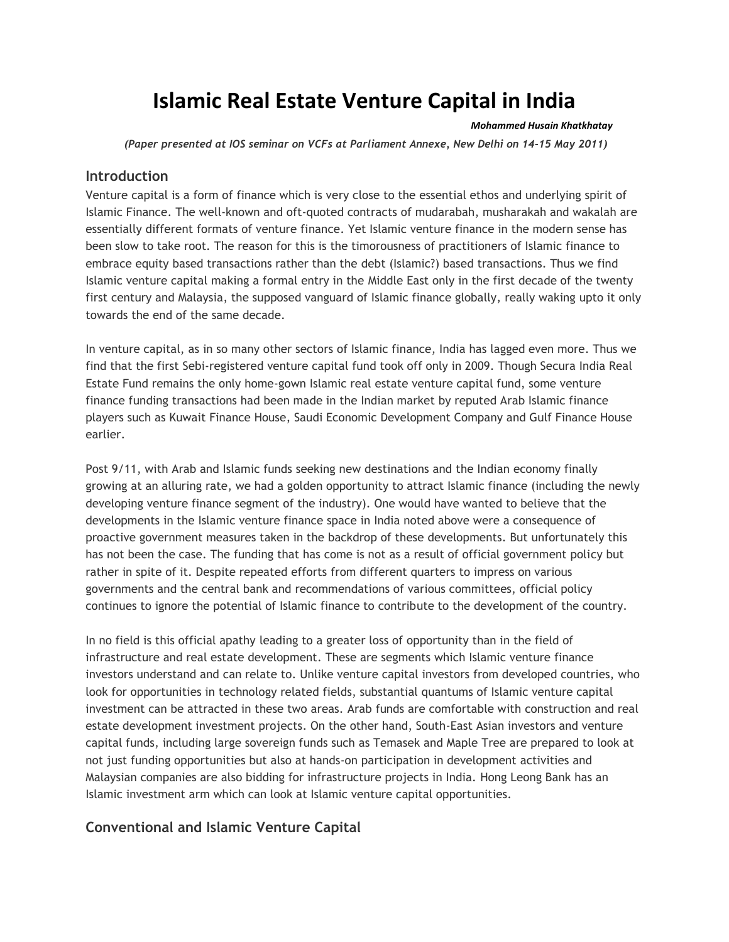# **Islamic Real Estate Venture Capital in India**

#### *Mohammed Husain Khatkhatay*

*(Paper presented at IOS seminar on VCFs at Parliament Annexe, New Delhi on 14-15 May 2011)*

#### **Introduction**

Venture capital is a form of finance which is very close to the essential ethos and underlying spirit of Islamic Finance. The well-known and oft-quoted contracts of mudarabah, musharakah and wakalah are essentially different formats of venture finance. Yet Islamic venture finance in the modern sense has been slow to take root. The reason for this is the timorousness of practitioners of Islamic finance to embrace equity based transactions rather than the debt (Islamic?) based transactions. Thus we find Islamic venture capital making a formal entry in the Middle East only in the first decade of the twenty first century and Malaysia, the supposed vanguard of Islamic finance globally, really waking upto it only towards the end of the same decade.

In venture capital, as in so many other sectors of Islamic finance, India has lagged even more. Thus we find that the first Sebi-registered venture capital fund took off only in 2009. Though Secura India Real Estate Fund remains the only home-gown Islamic real estate venture capital fund, some venture finance funding transactions had been made in the Indian market by reputed Arab Islamic finance players such as Kuwait Finance House, Saudi Economic Development Company and Gulf Finance House earlier.

Post 9/11, with Arab and Islamic funds seeking new destinations and the Indian economy finally growing at an alluring rate, we had a golden opportunity to attract Islamic finance (including the newly developing venture finance segment of the industry). One would have wanted to believe that the developments in the Islamic venture finance space in India noted above were a consequence of proactive government measures taken in the backdrop of these developments. But unfortunately this has not been the case. The funding that has come is not as a result of official government policy but rather in spite of it. Despite repeated efforts from different quarters to impress on various governments and the central bank and recommendations of various committees, official policy continues to ignore the potential of Islamic finance to contribute to the development of the country.

In no field is this official apathy leading to a greater loss of opportunity than in the field of infrastructure and real estate development. These are segments which Islamic venture finance investors understand and can relate to. Unlike venture capital investors from developed countries, who look for opportunities in technology related fields, substantial quantums of Islamic venture capital investment can be attracted in these two areas. Arab funds are comfortable with construction and real estate development investment projects. On the other hand, South-East Asian investors and venture capital funds, including large sovereign funds such as Temasek and Maple Tree are prepared to look at not just funding opportunities but also at hands-on participation in development activities and Malaysian companies are also bidding for infrastructure projects in India. Hong Leong Bank has an Islamic investment arm which can look at Islamic venture capital opportunities.

# **Conventional and Islamic Venture Capital**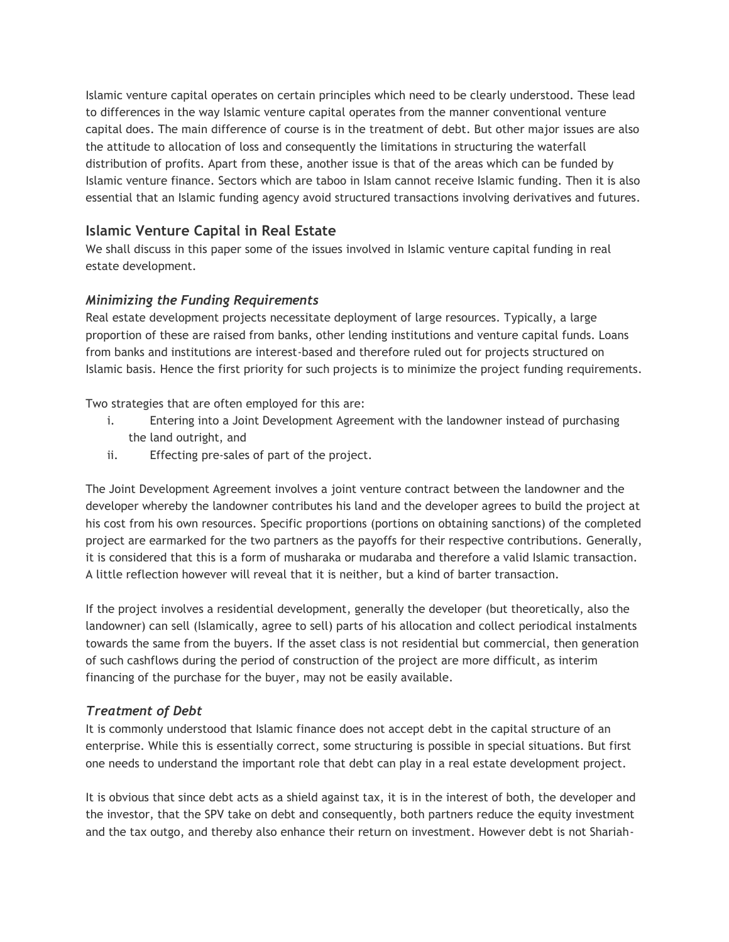Islamic venture capital operates on certain principles which need to be clearly understood. These lead to differences in the way Islamic venture capital operates from the manner conventional venture capital does. The main difference of course is in the treatment of debt. But other major issues are also the attitude to allocation of loss and consequently the limitations in structuring the waterfall distribution of profits. Apart from these, another issue is that of the areas which can be funded by Islamic venture finance. Sectors which are taboo in Islam cannot receive Islamic funding. Then it is also essential that an Islamic funding agency avoid structured transactions involving derivatives and futures.

# **Islamic Venture Capital in Real Estate**

We shall discuss in this paper some of the issues involved in Islamic venture capital funding in real estate development.

#### *Minimizing the Funding Requirements*

Real estate development projects necessitate deployment of large resources. Typically, a large proportion of these are raised from banks, other lending institutions and venture capital funds. Loans from banks and institutions are interest-based and therefore ruled out for projects structured on Islamic basis. Hence the first priority for such projects is to minimize the project funding requirements.

Two strategies that are often employed for this are:

- i. Entering into a Joint Development Agreement with the landowner instead of purchasing the land outright, and
- ii. Effecting pre-sales of part of the project.

The Joint Development Agreement involves a joint venture contract between the landowner and the developer whereby the landowner contributes his land and the developer agrees to build the project at his cost from his own resources. Specific proportions (portions on obtaining sanctions) of the completed project are earmarked for the two partners as the payoffs for their respective contributions. Generally, it is considered that this is a form of musharaka or mudaraba and therefore a valid Islamic transaction. A little reflection however will reveal that it is neither, but a kind of barter transaction.

If the project involves a residential development, generally the developer (but theoretically, also the landowner) can sell (Islamically, agree to sell) parts of his allocation and collect periodical instalments towards the same from the buyers. If the asset class is not residential but commercial, then generation of such cashflows during the period of construction of the project are more difficult, as interim financing of the purchase for the buyer, may not be easily available.

#### *Treatment of Debt*

It is commonly understood that Islamic finance does not accept debt in the capital structure of an enterprise. While this is essentially correct, some structuring is possible in special situations. But first one needs to understand the important role that debt can play in a real estate development project.

It is obvious that since debt acts as a shield against tax, it is in the interest of both, the developer and the investor, that the SPV take on debt and consequently, both partners reduce the equity investment and the tax outgo, and thereby also enhance their return on investment. However debt is not Shariah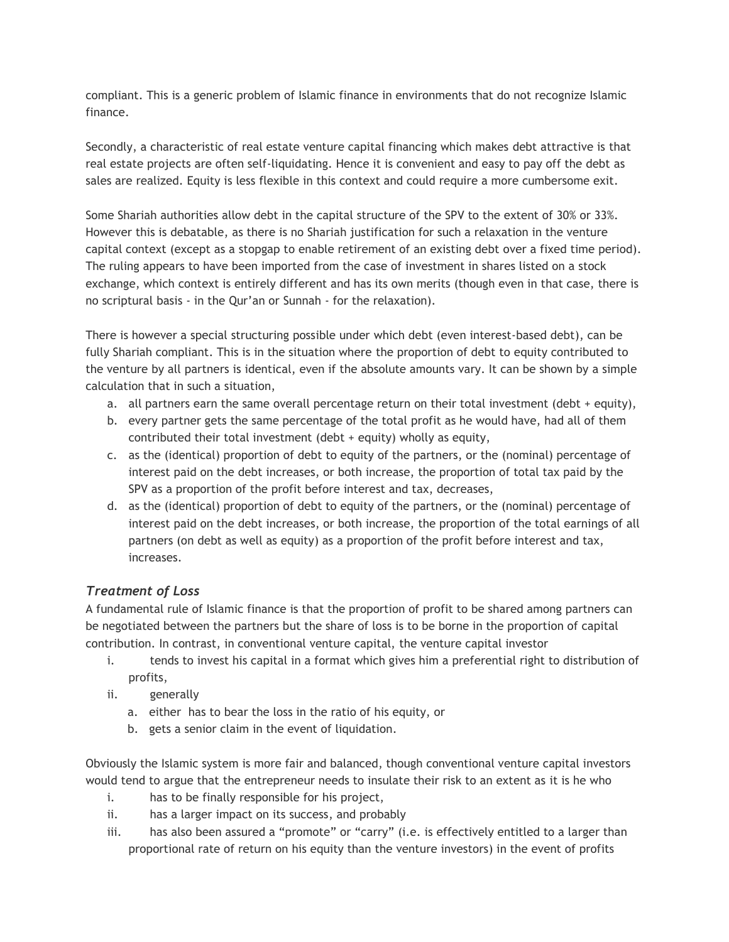compliant. This is a generic problem of Islamic finance in environments that do not recognize Islamic finance.

Secondly, a characteristic of real estate venture capital financing which makes debt attractive is that real estate projects are often self-liquidating. Hence it is convenient and easy to pay off the debt as sales are realized. Equity is less flexible in this context and could require a more cumbersome exit.

Some Shariah authorities allow debt in the capital structure of the SPV to the extent of 30% or 33%. However this is debatable, as there is no Shariah justification for such a relaxation in the venture capital context (except as a stopgap to enable retirement of an existing debt over a fixed time period). The ruling appears to have been imported from the case of investment in shares listed on a stock exchange, which context is entirely different and has its own merits (though even in that case, there is no scriptural basis - in the Qur'an or Sunnah - for the relaxation).

There is however a special structuring possible under which debt (even interest-based debt), can be fully Shariah compliant. This is in the situation where the proportion of debt to equity contributed to the venture by all partners is identical, even if the absolute amounts vary. It can be shown by a simple calculation that in such a situation,

- a. all partners earn the same overall percentage return on their total investment (debt + equity),
- b. every partner gets the same percentage of the total profit as he would have, had all of them contributed their total investment (debt + equity) wholly as equity,
- c. as the (identical) proportion of debt to equity of the partners, or the (nominal) percentage of interest paid on the debt increases, or both increase, the proportion of total tax paid by the SPV as a proportion of the profit before interest and tax, decreases,
- d. as the (identical) proportion of debt to equity of the partners, or the (nominal) percentage of interest paid on the debt increases, or both increase, the proportion of the total earnings of all partners (on debt as well as equity) as a proportion of the profit before interest and tax, increases.

# *Treatment of Loss*

A fundamental rule of Islamic finance is that the proportion of profit to be shared among partners can be negotiated between the partners but the share of loss is to be borne in the proportion of capital contribution. In contrast, in conventional venture capital, the venture capital investor

- i. tends to invest his capital in a format which gives him a preferential right to distribution of profits,
- ii. generally
	- a. either has to bear the loss in the ratio of his equity, or
	- b. gets a senior claim in the event of liquidation.

Obviously the Islamic system is more fair and balanced, though conventional venture capital investors would tend to argue that the entrepreneur needs to insulate their risk to an extent as it is he who

- i. has to be finally responsible for his project,
- ii. has a larger impact on its success, and probably
- iii. has also been assured a "promote" or "carry" (i.e. is effectively entitled to a larger than proportional rate of return on his equity than the venture investors) in the event of profits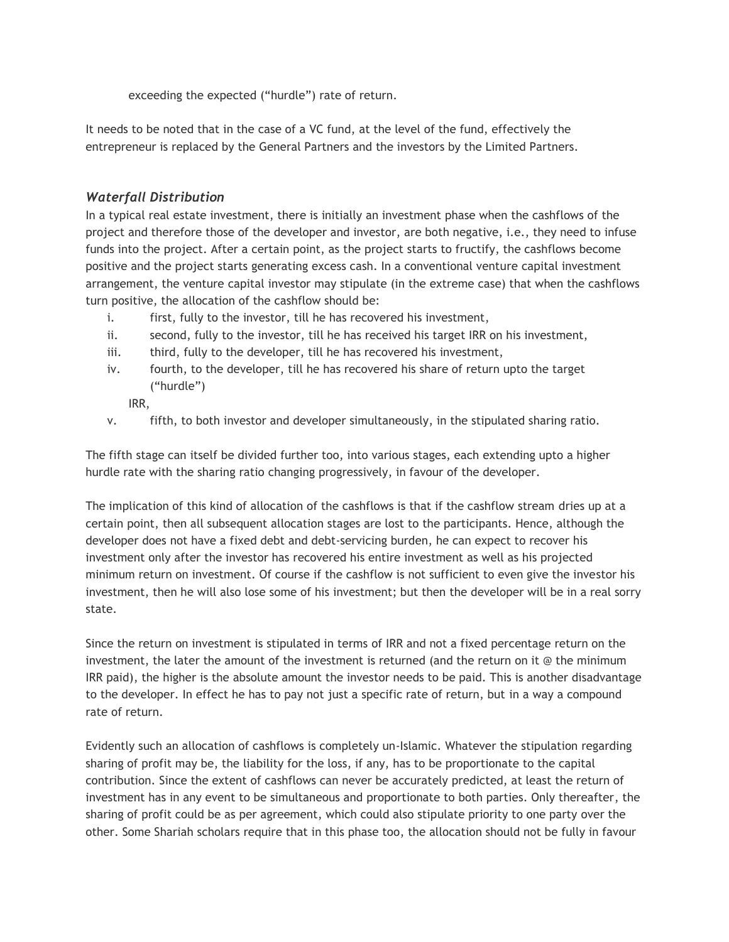exceeding the expected ("hurdle") rate of return.

It needs to be noted that in the case of a VC fund, at the level of the fund, effectively the entrepreneur is replaced by the General Partners and the investors by the Limited Partners.

### *Waterfall Distribution*

In a typical real estate investment, there is initially an investment phase when the cashflows of the project and therefore those of the developer and investor, are both negative, i.e., they need to infuse funds into the project. After a certain point, as the project starts to fructify, the cashflows become positive and the project starts generating excess cash. In a conventional venture capital investment arrangement, the venture capital investor may stipulate (in the extreme case) that when the cashflows turn positive, the allocation of the cashflow should be:

- i. first, fully to the investor, till he has recovered his investment,
- ii. second, fully to the investor, till he has received his target IRR on his investment,
- iii. third, fully to the developer, till he has recovered his investment,
- iv. fourth, to the developer, till he has recovered his share of return upto the target ("hurdle")

IRR,

v. fifth, to both investor and developer simultaneously, in the stipulated sharing ratio.

The fifth stage can itself be divided further too, into various stages, each extending upto a higher hurdle rate with the sharing ratio changing progressively, in favour of the developer.

The implication of this kind of allocation of the cashflows is that if the cashflow stream dries up at a certain point, then all subsequent allocation stages are lost to the participants. Hence, although the developer does not have a fixed debt and debt-servicing burden, he can expect to recover his investment only after the investor has recovered his entire investment as well as his projected minimum return on investment. Of course if the cashflow is not sufficient to even give the investor his investment, then he will also lose some of his investment; but then the developer will be in a real sorry state.

Since the return on investment is stipulated in terms of IRR and not a fixed percentage return on the investment, the later the amount of the investment is returned (and the return on it @ the minimum IRR paid), the higher is the absolute amount the investor needs to be paid. This is another disadvantage to the developer. In effect he has to pay not just a specific rate of return, but in a way a compound rate of return.

Evidently such an allocation of cashflows is completely un-Islamic. Whatever the stipulation regarding sharing of profit may be, the liability for the loss, if any, has to be proportionate to the capital contribution. Since the extent of cashflows can never be accurately predicted, at least the return of investment has in any event to be simultaneous and proportionate to both parties. Only thereafter, the sharing of profit could be as per agreement, which could also stipulate priority to one party over the other. Some Shariah scholars require that in this phase too, the allocation should not be fully in favour